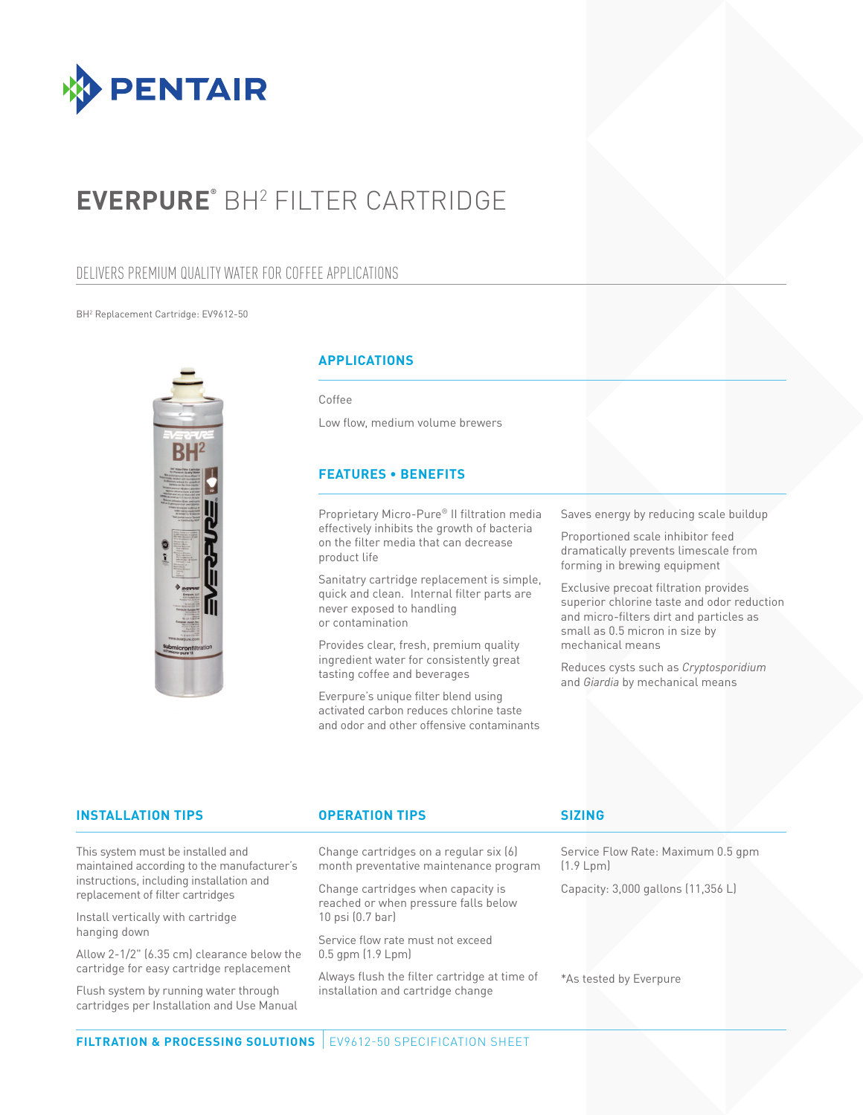

# **EVERPURE®** BH2 FILTER CARTRIDGE

## DELIVERS PREMIUM QUALITY WATER FOR COFFEE APPLICATIONS

### BH2 Replacement Cartridge: EV9612-50



### **APPLICATIONS**

Coffee

Low flow, medium volume brewers

### **FEATURES • BENEFITS**

Proprietary Micro-Pure® II filtration media effectively inhibits the growth of bacteria on the filter media that can decrease product life

Sanitatry cartridge replacement is simple, quick and clean. Internal filter parts are never exposed to handling or contamination

Provides clear, fresh, premium quality ingredient water for consistently great tasting coffee and beverages

Everpure's unique filter blend using activated carbon reduces chlorine taste and odor and other offensive contaminants Saves energy by reducing scale buildup

Proportioned scale inhibitor feed dramatically prevents limescale from forming in brewing equipment

Exclusive precoat filtration provides superior chlorine taste and odor reduction and micro-filters dirt and particles as small as 0.5 micron in size by mechanical means

Reduces cysts such as *Cryptosporidium* and *Giardia* by mechanical means

| <b>INSTALLATION TIPS</b>                                                                                                                                        | <b>OPERATION TIPS</b>                                                            | <b>SIZING</b>                                   |
|-----------------------------------------------------------------------------------------------------------------------------------------------------------------|----------------------------------------------------------------------------------|-------------------------------------------------|
| This system must be installed and<br>maintained according to the manufacturer's<br>instructions, including installation and<br>replacement of filter cartridges | Change cartridges on a regular six (6)<br>month preventative maintenance program | Service Flow Rate: Maximum 0.5 gpm<br>(1.9 Lpm) |
|                                                                                                                                                                 | Change cartridges when capacity is<br>reached or when pressure falls below       | Capacity: 3,000 gallons (11,356 L)              |
| Install vertically with cartridge                                                                                                                               | $10$ psi $(0.7$ bar)                                                             |                                                 |
| hanging down                                                                                                                                                    | Service flow rate must not exceed                                                |                                                 |
| Allow 2-1/2" (6.35 cm) clearance below the                                                                                                                      | $0.5$ gpm $(1.9 \text{ Lpm})$                                                    |                                                 |
| cartridge for easy cartridge replacement                                                                                                                        | $\Delta$                                                                         |                                                 |

Flush system by running water through cartridges per Installation and Use Manual

Always flush the filter cartridge at time of installation and cartridge change

\*As tested by Everpure